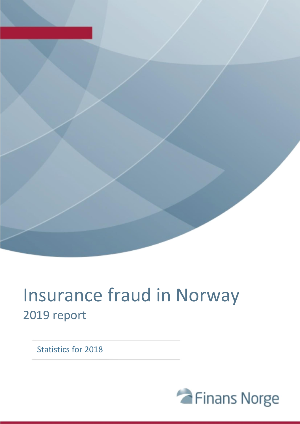

# Insurance fraud in Norway 2019 report

Statistics for 2018

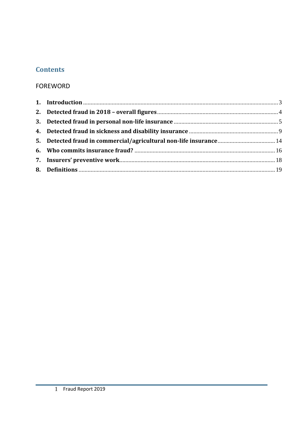# **Contents**

## **FOREWORD**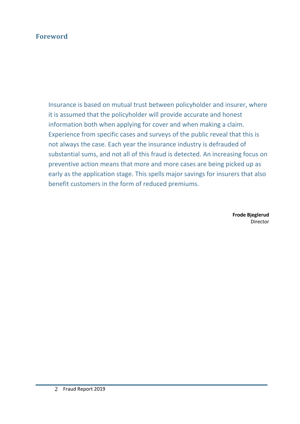## **Foreword**

Insurance is based on mutual trust between policyholder and insurer, where it is assumed that the policyholder will provide accurate and honest information both when applying for cover and when making a claim. Experience from specific cases and surveys of the public reveal that this is not always the case. Each year the insurance industry is defrauded of substantial sums, and not all of this fraud is detected. An increasing focus on preventive action means that more and more cases are being picked up as early as the application stage. This spells major savings for insurers that also benefit customers in the form of reduced premiums.

> **Frode Bjeglerud** Director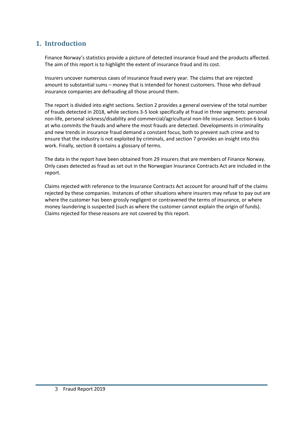## <span id="page-3-0"></span>**1. Introduction**

Finance Norway's statistics provide a picture of detected insurance fraud and the products affected. The aim of this report is to highlight the extent of insurance fraud and its cost.

Insurers uncover numerous cases of insurance fraud every year. The claims that are rejected amount to substantial sums – money that is intended for honest customers. Those who defraud insurance companies are defrauding all those around them.

The report is divided into eight sections. Section 2 provides a general overview of the total number of frauds detected in 2018, while sections 3-5 look specifically at fraud in three segments: personal non-life, personal sickness/disability and commercial/agricultural non-life insurance. Section 6 looks at who commits the frauds and where the most frauds are detected. Developments in criminality and new trends in insurance fraud demand a constant focus, both to prevent such crime and to ensure that the industry is not exploited by criminals, and section 7 provides an insight into this work. Finally, section 8 contains a glossary of terms.

The data in the report have been obtained from 29 insurers that are members of Finance Norway. Only cases detected as fraud as set out in the Norwegian Insurance Contracts Act are included in the report.

Claims rejected with reference to the Insurance Contracts Act account for around half of the claims rejected by these companies. Instances of other situations where insurers may refuse to pay out are where the customer has been grossly negligent or contravened the terms of insurance, or where money laundering is suspected (such as where the customer cannot explain the origin of funds). Claims rejected for these reasons are not covered by this report.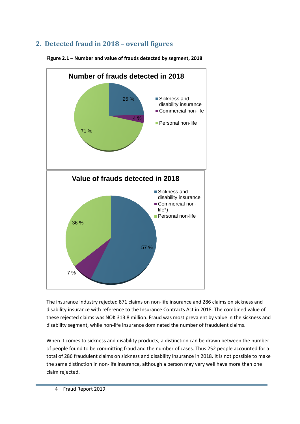# <span id="page-4-0"></span>**2. Detected fraud in 2018 – overall figures**



**Figure 2.1 – Number and value of frauds detected by segment, 2018**

The insurance industry rejected 871 claims on non-life insurance and 286 claims on sickness and disability insurance with reference to the Insurance Contracts Act in 2018. The combined value of these rejected claims was NOK 313.8 million. Fraud was most prevalent by value in the sickness and disability segment, while non-life insurance dominated the number of fraudulent claims.

When it comes to sickness and disability products, a distinction can be drawn between the number of people found to be committing fraud and the number of cases. Thus 252 people accounted for a total of 286 fraudulent claims on sickness and disability insurance in 2018. It is not possible to make the same distinction in non-life insurance, although a person may very well have more than one claim rejected.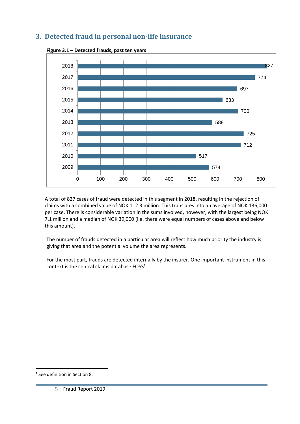# <span id="page-5-0"></span>**3. Detected fraud in personal non-life insurance**



**Figure 3.1 – Detected frauds, past ten years**

A total of 827 cases of fraud were detected in this segment in 2018, resulting in the rejection of claims with a combined value of NOK 112.3 million. This translates into an average of NOK 136,000 per case. There is considerable variation in the sums involved, however, with the largest being NOK 7.1 million and a median of NOK 39,000 (i.e. there were equal numbers of cases above and below this amount).

The number of frauds detected in a particular area will reflect how much priority the industry is giving that area and the potential volume the area represents.

For the most part, frauds are detected internally by the insurer. One important instrument in this context is the central claims database  $FOSS<sup>1</sup>$ .

 $\overline{a}$ 

See definition in Section 8.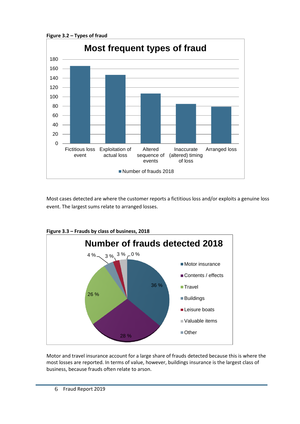**Figure 3.2 – Types of fraud**



Most cases detected are where the customer reports a fictitious loss and/or exploits a genuine loss event. The largest sums relate to arranged losses.



**Figure 3.3 – Frauds by class of business, 2018**

Motor and travel insurance account for a large share of frauds detected because this is where the most losses are reported. In terms of value, however, buildings insurance is the largest class of business, because frauds often relate to arson.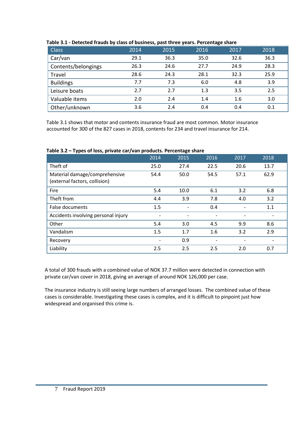| <b>Class</b>        | 2014 | 2015 | 2016    | 2017 | 2018 |
|---------------------|------|------|---------|------|------|
| Car/van             | 29.1 | 36.3 | 35.0    | 32.6 | 36.3 |
| Contents/belongings | 26.3 | 24.6 | 27.7    | 24.9 | 28.3 |
| Travel              | 28.6 | 24.3 | 28.1    | 32.3 | 25.9 |
| <b>Buildings</b>    | 7.7  | 7.3  | 6.0     | 4.8  | 3.9  |
| Leisure boats       | 2.7  | 2.7  | $1.3\,$ | 3.5  | 2.5  |
| Valuable items      | 2.0  | 2.4  | 1.4     | 1.6  | 3.0  |
| Other/unknown       | 3.6  | 2.4  | 0.4     | 0.4  | 0.1  |

## **Table 3.1 - Detected frauds by class of business, past three years. Percentage share**

Table 3.1 shows that motor and contents insurance fraud are most common. Motor insurance accounted for 300 of the 827 cases in 2018, contents for 234 and travel insurance for 214.

**Table 3.2 – Types of loss, private car/van products. Percentage share**

|                                                                | 2014                     | 2015                     | 2016                     | 2017                     | 2018                     |
|----------------------------------------------------------------|--------------------------|--------------------------|--------------------------|--------------------------|--------------------------|
| Theft of                                                       | 25.0                     | 27.4                     | 22.5                     | 20.6                     | 13.7                     |
| Material damage/comprehensive<br>(external factors, collision) | 54.4                     | 50.0                     | 54.5                     | 57.1                     | 62.9                     |
| Fire                                                           | 5.4                      | 10.0                     | 6.1                      | 3.2                      | 6.8                      |
| Theft from                                                     | 4.4                      | 3.9                      | 7.8                      | 4.0                      | 3.2                      |
| False documents                                                | 1.5                      | $\overline{\phantom{a}}$ | 0.4                      | $\overline{\phantom{a}}$ | 1.1                      |
| Accidents involving personal injury                            | $\overline{\phantom{0}}$ |                          | $\overline{\phantom{a}}$ |                          |                          |
| Other                                                          | 5.4                      | 3.0                      | 4.5                      | 9.9                      | 8.6                      |
| Vandalism                                                      | 1.5                      | 1.7                      | 1.6                      | 3.2                      | 2.9                      |
| Recovery                                                       | $\overline{\phantom{0}}$ | 0.9                      | $\overline{\phantom{a}}$ |                          | $\overline{\phantom{a}}$ |
| Liability                                                      | 2.5                      | 2.5                      | 2.5                      | 2.0                      | 0.7                      |

A total of 300 frauds with a combined value of NOK 37.7 million were detected in connection with private car/van cover in 2018, giving an average of around NOK 126,000 per case.

The insurance industry is still seeing large numbers of arranged losses. The combined value of these cases is considerable. Investigating these cases is complex, and it is difficult to pinpoint just how widespread and organised this crime is.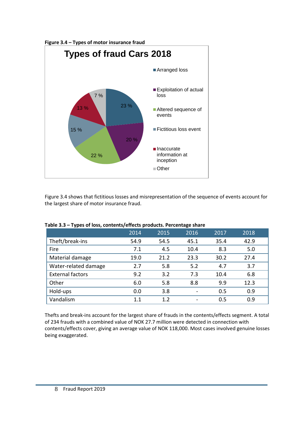

Figure 3.4 shows that fictitious losses and misrepresentation of the sequence of events account for the largest share of motor insurance fraud.

|                         | 2014 | 2015 | 2016 | 2017 | 2018 |
|-------------------------|------|------|------|------|------|
| Theft/break-ins         | 54.9 | 54.5 | 45.1 | 35.4 | 42.9 |
| Fire                    | 7.1  | 4.5  | 10.4 | 8.3  | 5.0  |
| Material damage         | 19.0 | 21.2 | 23.3 | 30.2 | 27.4 |
| Water-related damage    | 2.7  | 5.8  | 5.2  | 4.7  | 3.7  |
| <b>External factors</b> | 9.2  | 3.2  | 7.3  | 10.4 | 6.8  |
| Other                   | 6.0  | 5.8  | 8.8  | 9.9  | 12.3 |
| Hold-ups                | 0.0  | 3.8  |      | 0.5  | 0.9  |
| Vandalism               | 1.1  | 1.2  |      | 0.5  | 0.9  |

**Table 3.3 – Types of loss, contents/effects products. Percentage share**

Thefts and break-ins account for the largest share of frauds in the contents/effects segment. A total of 234 frauds with a combined value of NOK 27.7 million were detected in connection with contents/effects cover, giving an average value of NOK 118,000. Most cases involved genuine losses being exaggerated.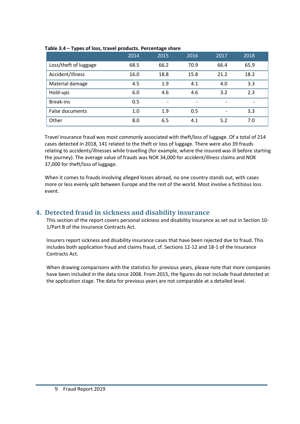|                       | 2014 | 2015                     | 2016                     | 2017                     | 2018 |
|-----------------------|------|--------------------------|--------------------------|--------------------------|------|
| Loss/theft of luggage | 68.5 | 66.2                     | 70.9                     | 66.4                     | 65.9 |
| Accident/illness      | 16.0 | 18.8                     | 15.8                     | 21.2                     | 18.2 |
| Material damage       | 4.5  | 1.9                      | 4.1                      | 4.0                      | 3.3  |
| Hold-ups              | 6.0  | 4.6                      | 4.6                      | 3.2                      | 2.3  |
| <b>Break-ins</b>      | 0.5  | $\overline{\phantom{a}}$ | $\overline{\phantom{a}}$ | $\overline{\phantom{a}}$ | -    |
| False documents       | 1.0  | 1.9                      | 0.5                      | $\blacksquare$           | 3.3  |
| Other                 | 8.0  | 6.5                      | 4.1                      | 5.2                      | 7.0  |

## **Table 3.4 – Types of loss, travel products. Percentage share**

Travel insurance fraud was most commonly associated with theft/loss of luggage. Of a total of 214 cases detected in 2018, 141 related to the theft or loss of luggage. There were also 39 frauds relating to accidents/illnesses while travelling (for example, where the insured was ill before starting the journey). The average value of frauds was NOK 34,000 for accident/illness claims and NOK 37,000 for theft/loss of luggage.

When it comes to frauds involving alleged losses abroad, no one country stands out, with cases more or less evenly split between Europe and the rest of the world. Most involve a fictitious loss event.

## <span id="page-9-0"></span>**4. Detected fraud in sickness and disability insurance**

This section of the report covers personal sickness and disability insurance as set out in Section 10- 1/Part B of the Insurance Contracts Act.

Insurers report sickness and disability insurance cases that have been rejected due to fraud. This includes both application fraud and claims fraud, cf. Sections 12-12 and 18-1 of the Insurance Contracts Act.

When drawing comparisons with the statistics for previous years, please note that more companies have been included in the data since 2008. From 2015, the figures do not include fraud detected at the application stage. The data for previous years are not comparable at a detailed level.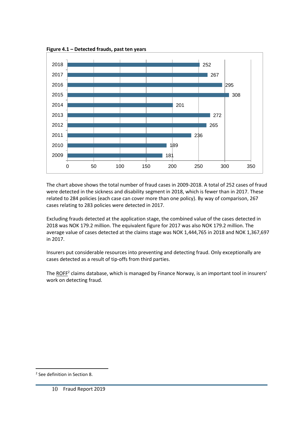

**Figure 4.1 – Detected frauds, past ten years**

The chart above shows the total number of fraud cases in 2009-2018. A total of 252 cases of fraud were detected in the sickness and disability segment in 2018, which is fewer than in 2017. These related to 284 policies (each case can cover more than one policy). By way of comparison, 267 cases relating to 283 policies were detected in 2017.

Excluding frauds detected at the application stage, the combined value of the cases detected in 2018 was NOK 179.2 million. The equivalent figure for 2017 was also NOK 179.2 million. The average value of cases detected at the claims stage was NOK 1,444,765 in 2018 and NOK 1,367,697 in 2017.

Insurers put considerable resources into preventing and detecting fraud. Only exceptionally are cases detected as a result of tip-offs from third parties.

The [ROFF](#page-20-0)<sup>2</sup> claims database, which is managed by Finance Norway, is an important tool in insurers' work on detecting fraud.

 $\overline{a}$ 

See definition in Section 8.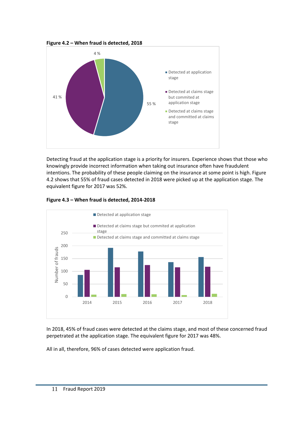**Figure 4.2 – When fraud is detected, 2018**



Detecting fraud at the application stage is a priority for insurers. Experience shows that those who knowingly provide incorrect information when taking out insurance often have fraudulent intentions. The probability of these people claiming on the insurance at some point is high. Figure 4.2 shows that 55% of fraud cases detected in 2018 were picked up at the application stage. The equivalent figure for 2017 was 52%.



## **Figure 4.3 – When fraud is detected, 2014-2018**

In 2018, 45% of fraud cases were detected at the claims stage, and most of these concerned fraud perpetrated at the application stage. The equivalent figure for 2017 was 48%.

All in all, therefore, 96% of cases detected were application fraud.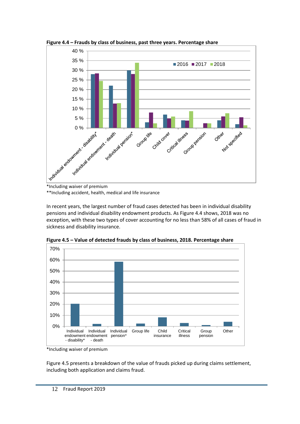

**Figure 4.4 – Frauds by class of business, past three years. Percentage share**

\*\*Including accident, health, medical and life insurance

In recent years, the largest number of fraud cases detected has been in individual disability pensions and individual disability endowment products. As Figure 4.4 shows, 2018 was no exception, with these two types of cover accounting for no less than 58% of all cases of fraud in sickness and disability insurance.



**Figure 4.5 – Value of detected frauds by class of business, 2018. Percentage share**

Figure 4.5 presents a breakdown of the value of frauds picked up during claims settlement, including both application and claims fraud.

<sup>\*</sup>Including waiver of premium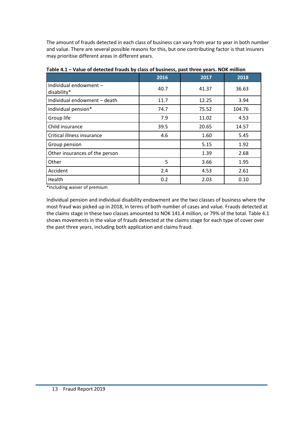The amount of frauds detected in each class of business can vary from year to year in both number and value. There are several possible reasons for this, but one contributing factor is that insurers may prioritise different areas in different years.

|                                       | 2016 | 2017  | 2018   |
|---------------------------------------|------|-------|--------|
| Individual endowment -<br>disability* | 40.7 | 41.37 | 36.63  |
| Individual endowment - death          | 11.7 | 12.25 | 3.94   |
| Individual pension*                   | 74.7 | 75.52 | 104.76 |
| Group life                            | 7.9  | 11.02 | 4.53   |
| Child insurance                       | 39.5 | 20.65 | 14.57  |
| Critical illness insurance            | 4.6  | 1.60  | 5.45   |
| Group pension                         |      | 5.15  | 1.92   |
| Other insurances of the person        |      | 1.39  | 2.68   |
| Other                                 | 5    | 3.66  | 1.95   |
| Accident                              | 2.4  | 4.53  | 2.61   |
| Health                                | 0.2  | 2.03  | 0.10   |

**Table 4.1 – Value of detected frauds by class of business, past three years. NOK million**

\*Including waiver of premium

Individual pension and individual disability endowment are the two classes of business where the most fraud was picked up in 2018, in terms of both number of cases and value. Frauds detected at the claims stage in these two classes amounted to NOK 141.4 million, or 79% of the total. Table 4.1 shows movements in the value of frauds detected at the claims stage for each type of cover over the past three years, including both application and claims fraud.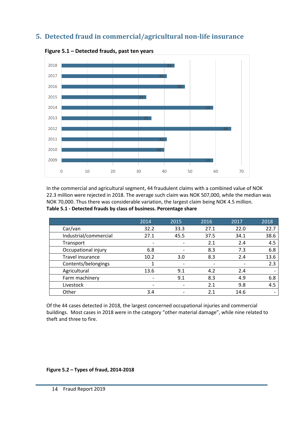## <span id="page-14-0"></span>**5. Detected fraud in commercial/agricultural non-life insurance**



**Figure 5.1 – Detected frauds, past ten years**

In the commercial and agricultural segment, 44 fraudulent claims with a combined value of NOK 22.3 million were rejected in 2018. The average such claim was NOK 507,000, while the median was NOK 70,000. Thus there was considerable variation, the largest claim being NOK 4.5 million. **Table 5.1 - Detected frauds by class of business. Percentage share**

|                       | 2014 | 2015 | 2016 | 2017 | 2018                         |
|-----------------------|------|------|------|------|------------------------------|
| Car/van               | 32.2 | 33.3 | 27.1 | 22.0 | 22.7                         |
| Industrial/commercial | 27.1 | 45.5 | 37.5 | 34.1 | 38.6                         |
| Transport             |      |      | 2.1  | 2.4  | 4.5                          |
| Occupational injury   | 6.8  |      | 8.3  | 7.3  | 6.8                          |
| Travel insurance      | 10.2 | 3.0  | 8.3  | 2.4  | 13.6                         |
| Contents/belongings   |      |      |      |      | 2.3                          |
| Agricultural          | 13.6 | 9.1  | 4.2  | 2.4  | $\qquad \qquad \blacksquare$ |
| Farm machinery        |      | 9.1  | 8.3  | 4.9  | 6.8                          |
| Livestock             |      |      | 2.1  | 9.8  | 4.5                          |
| Other                 | 3.4  |      | 2.1  | 14.6 | $\overline{\phantom{0}}$     |

Of the 44 cases detected in 2018, the largest concerned occupational injuries and commercial buildings. Most cases in 2018 were in the category "other material damage", while nine related to theft and three to fire.

**Figure 5.2 – Types of fraud, 2014-2018**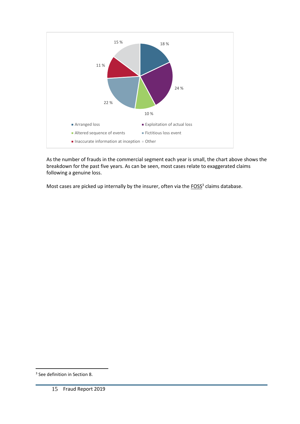

As the number of frauds in the commercial segment each year is small, the chart above shows the breakdown for the past five years. As can be seen, most cases relate to exaggerated claims following a genuine loss.

Most cases are picked up internally by the insurer, often via the  $FOSS<sup>3</sup>$  claims database.</u>

 $\overline{a}$ 

<sup>3</sup> See definition in Section 8.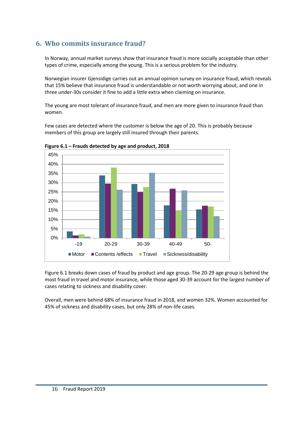# <span id="page-16-0"></span>**6. Who commits insurance fraud?**

In Norway, annual market surveys show that insurance fraud is more socially acceptable than other types of crime, especially among the young. This is a serious problem for the industry.

Norwegian insurer Gjensidige carries out an annual opinion survey on insurance fraud, which reveals that 15% believe that insurance fraud is understandable or not worth worrying about, and one in three under-30s consider it fine to add a little extra when claiming on insurance.

The young are most tolerant of insurance fraud, and men are more given to insurance fraud than women.

Few cases are detected where the customer is below the age of 20. This is probably because members of this group are largely still insured through their parents.



**Figure 6.1 – Frauds detected by age and product, 2018**

Figure 6.1 breaks down cases of fraud by product and age group. The 20-29 age group is behind the most fraud in travel and motor insurance, while those aged 30-39 account for the largest number of cases relating to sickness and disability cover.

Overall, men were behind 68% of insurance fraud in 2018, and women 32%. Women accounted for 45% of sickness and disability cases, but only 28% of non-life cases.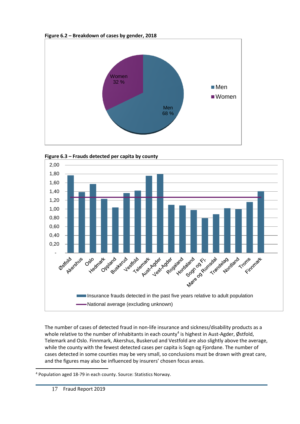







The number of cases of detected fraud in non-life insurance and sickness/disability products as a whole relative to the number of inhabitants in each county<sup>4</sup> is highest in Aust-Agder, Østfold, Telemark and Oslo. Finnmark, Akershus, Buskerud and Vestfold are also slightly above the average, while the county with the fewest detected cases per capita is Sogn og Fjordane. The number of cases detected in some counties may be very small, so conclusions must be drawn with great care, and the figures may also be influenced by insurers' chosen focus areas.

 $\overline{a}$ <sup>4</sup> Population aged 18-79 in each county. Source: Statistics Norway.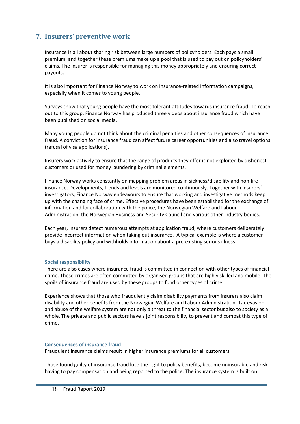# <span id="page-18-0"></span>**7. Insurers' preventive work**

Insurance is all about sharing risk between large numbers of policyholders. Each pays a small premium, and together these premiums make up a pool that is used to pay out on policyholders' claims. The insurer is responsible for managing this money appropriately and ensuring correct payouts.

It is also important for Finance Norway to work on insurance-related information campaigns, especially when it comes to young people.

Surveys show that young people have the most tolerant attitudes towards insurance fraud. To reach out to this group, Finance Norway has produced three videos about insurance fraud which have been published on social media.

Many young people do not think about the criminal penalties and other consequences of insurance fraud. A conviction for insurance fraud can affect future career opportunities and also travel options (refusal of visa applications).

Insurers work actively to ensure that the range of products they offer is not exploited by dishonest customers or used for money laundering by criminal elements.

Finance Norway works constantly on mapping problem areas in sickness/disability and non-life insurance. Developments, trends and levels are monitored continuously. Together with insurers' investigators, Finance Norway endeavours to ensure that working and investigative methods keep up with the changing face of crime. Effective procedures have been established for the exchange of information and for collaboration with the police, the Norwegian Welfare and Labour Administration, the Norwegian Business and Security Council and various other industry bodies.

Each year, insurers detect numerous attempts at application fraud, where customers deliberately provide incorrect information when taking out insurance. A typical example is where a customer buys a disability policy and withholds information about a pre-existing serious illness.

## **Social responsibility**

There are also cases where insurance fraud is committed in connection with other types of financial crime. These crimes are often committed by organised groups that are highly skilled and mobile. The spoils of insurance fraud are used by these groups to fund other types of crime.

Experience shows that those who fraudulently claim disability payments from insurers also claim disability and other benefits from the Norwegian Welfare and Labour Administration. Tax evasion and abuse of the welfare system are not only a threat to the financial sector but also to society as a whole. The private and public sectors have a joint responsibility to prevent and combat this type of crime.

#### **Consequences of insurance fraud**

Fraudulent insurance claims result in higher insurance premiums for all customers.

Those found guilty of insurance fraud lose the right to policy benefits, become uninsurable and risk having to pay compensation and being reported to the police. The insurance system is built on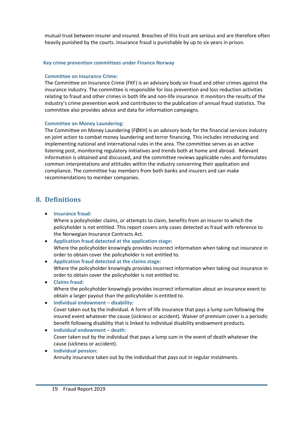mutual trust between insurer and insured. Breaches of this trust are serious and are therefore often heavily punished by the courts. Insurance fraud is punishable by up to six years in prison.

#### **Key crime prevention committees under Finance Norway**

## **Committee on Insurance Crime:**

The Committee on Insurance Crime (FKF) is an advisory body on fraud and other crimes against the insurance industry. The committee is responsible for loss prevention and loss reduction activities relating to fraud and other crimes in both life and non-life insurance. It monitors the results of the industry's crime prevention work and contributes to the publication of annual fraud statistics. The committee also provides advice and data for information campaigns.

## **Committee on Money Laundering:**

The Committee on Money Laundering (FØKH) is an advisory body for the financial services industry on joint action to combat money laundering and terror financing. This includes introducing and implementing national and international rules in the area. The committee serves as an active listening post, monitoring regulatory initiatives and trends both at home and abroad. Relevant information is obtained and discussed, and the committee reviews applicable rules and formulates common interpretations and attitudes within the industry concerning their application and compliance. The committee has members from both banks and insurers and can make recommendations to member companies.

## <span id="page-19-0"></span>**8. Definitions**

• **Insurance fraud:**

Where a policyholder claims, or attempts to claim, benefits from an insurer to which the policyholder is not entitled. This report covers only cases detected as fraud with reference to the Norwegian Insurance Contracts Act.

- **Application fraud detected at the application stage:** Where the policyholder knowingly provides incorrect information when taking out insurance in order to obtain cover the policyholder is not entitled to.
- **Application fraud detected at the claims stage:** Where the policyholder knowingly provides incorrect information when taking out insurance in order to obtain cover the policyholder is not entitled to.
- **Claims fraud:** Where the policyholder knowingly provides incorrect information about an insurance event to obtain a larger payout than the policyholder is entitled to.
- **Individual endowment – disability:** Cover taken out by the individual. A form of life insurance that pays a lump sum following the insured event whatever the cause (sickness or accident). Waiver of premium cover is a periodic benefit following disability that is linked to individual disability endowment products.
- **Individual endowment – death:** Cover taken out by the individual that pays a lump sum in the event of death whatever the cause (sickness or accident).
- **Individual pension:** Annuity insurance taken out by the individual that pays out in regular instalments.